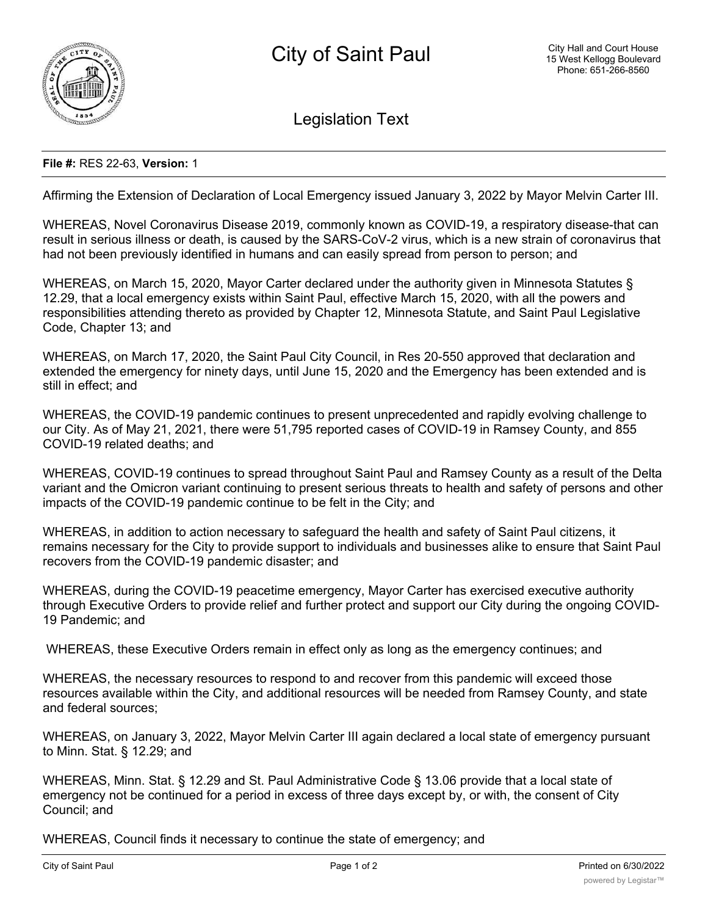

Legislation Text

## **File #:** RES 22-63, **Version:** 1

Affirming the Extension of Declaration of Local Emergency issued January 3, 2022 by Mayor Melvin Carter III.

WHEREAS, Novel Coronavirus Disease 2019, commonly known as COVID-19, a respiratory disease-that can result in serious illness or death, is caused by the SARS-CoV-2 virus, which is a new strain of coronavirus that had not been previously identified in humans and can easily spread from person to person; and

WHEREAS, on March 15, 2020, Mayor Carter declared under the authority given in Minnesota Statutes § 12.29, that a local emergency exists within Saint Paul, effective March 15, 2020, with all the powers and responsibilities attending thereto as provided by Chapter 12, Minnesota Statute, and Saint Paul Legislative Code, Chapter 13; and

WHEREAS, on March 17, 2020, the Saint Paul City Council, in Res 20-550 approved that declaration and extended the emergency for ninety days, until June 15, 2020 and the Emergency has been extended and is still in effect; and

WHEREAS, the COVID-19 pandemic continues to present unprecedented and rapidly evolving challenge to our City. As of May 21, 2021, there were 51,795 reported cases of COVID-19 in Ramsey County, and 855 COVID-19 related deaths; and

WHEREAS, COVID-19 continues to spread throughout Saint Paul and Ramsey County as a result of the Delta variant and the Omicron variant continuing to present serious threats to health and safety of persons and other impacts of the COVID-19 pandemic continue to be felt in the City; and

WHEREAS, in addition to action necessary to safeguard the health and safety of Saint Paul citizens, it remains necessary for the City to provide support to individuals and businesses alike to ensure that Saint Paul recovers from the COVID-19 pandemic disaster; and

WHEREAS, during the COVID-19 peacetime emergency, Mayor Carter has exercised executive authority through Executive Orders to provide relief and further protect and support our City during the ongoing COVID-19 Pandemic; and

WHEREAS, these Executive Orders remain in effect only as long as the emergency continues; and

WHEREAS, the necessary resources to respond to and recover from this pandemic will exceed those resources available within the City, and additional resources will be needed from Ramsey County, and state and federal sources;

WHEREAS, on January 3, 2022, Mayor Melvin Carter III again declared a local state of emergency pursuant to Minn. Stat. § 12.29; and

WHEREAS, Minn. Stat. § 12.29 and St. Paul Administrative Code § 13.06 provide that a local state of emergency not be continued for a period in excess of three days except by, or with, the consent of City Council; and

WHEREAS, Council finds it necessary to continue the state of emergency; and